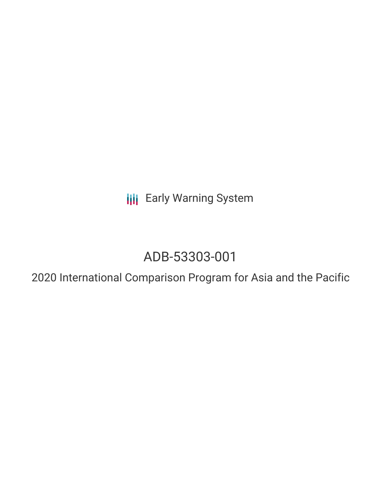**III** Early Warning System

# ADB-53303-001

2020 International Comparison Program for Asia and the Pacific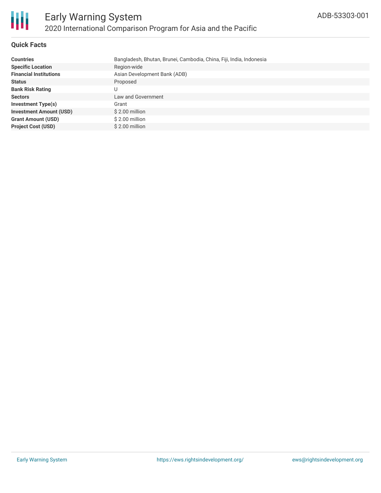

## **Quick Facts**

| <b>Countries</b>               | Bangladesh, Bhutan, Brunei, Cambodia, China, Fiji, India, Indonesia |
|--------------------------------|---------------------------------------------------------------------|
| <b>Specific Location</b>       | Region-wide                                                         |
| <b>Financial Institutions</b>  | Asian Development Bank (ADB)                                        |
| <b>Status</b>                  | Proposed                                                            |
| <b>Bank Risk Rating</b>        |                                                                     |
| <b>Sectors</b>                 | Law and Government                                                  |
| <b>Investment Type(s)</b>      | Grant                                                               |
| <b>Investment Amount (USD)</b> | $$2.00$ million                                                     |
| <b>Grant Amount (USD)</b>      | \$2.00 million                                                      |
| <b>Project Cost (USD)</b>      | \$2.00 million                                                      |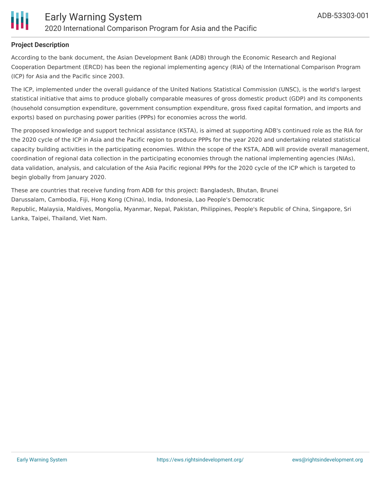

#### **Project Description**

According to the bank document, the Asian Development Bank (ADB) through the Economic Research and Regional Cooperation Department (ERCD) has been the regional implementing agency (RIA) of the International Comparison Program (ICP) for Asia and the Pacific since 2003.

The ICP, implemented under the overall guidance of the United Nations Statistical Commission (UNSC), is the world's largest statistical initiative that aims to produce globally comparable measures of gross domestic product (GDP) and its components (household consumption expenditure, government consumption expenditure, gross fixed capital formation, and imports and exports) based on purchasing power parities (PPPs) for economies across the world.

The proposed knowledge and support technical assistance (KSTA), is aimed at supporting ADB's continued role as the RIA for the 2020 cycle of the ICP in Asia and the Pacific region to produce PPPs for the year 2020 and undertaking related statistical capacity building activities in the participating economies. Within the scope of the KSTA, ADB will provide overall management, coordination of regional data collection in the participating economies through the national implementing agencies (NIAs), data validation, analysis, and calculation of the Asia Pacific regional PPPs for the 2020 cycle of the ICP which is targeted to begin globally from January 2020.

These are countries that receive funding from ADB for this project: Bangladesh, Bhutan, Brunei Darussalam, Cambodia, Fiji, Hong Kong (China), India, Indonesia, Lao People's Democratic Republic, Malaysia, Maldives, Mongolia, Myanmar, Nepal, Pakistan, Philippines, People's Republic of China, Singapore, Sri Lanka, Taipei, Thailand, Viet Nam.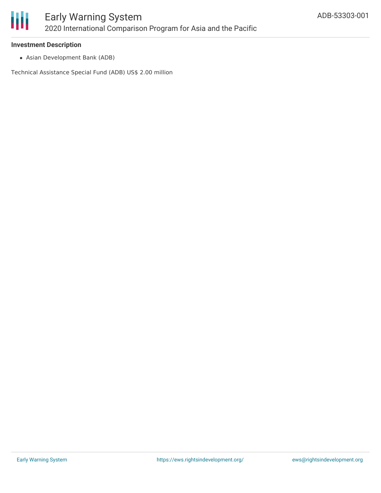

#### **Investment Description**

Asian Development Bank (ADB)

Technical Assistance Special Fund (ADB) US\$ 2.00 million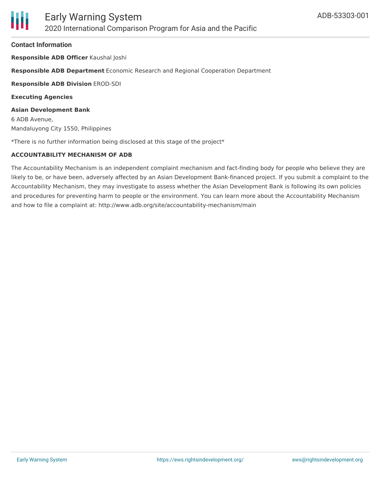#### **Contact Information**

**Responsible ADB Officer** Kaushal Joshi

**Responsible ADB Department** Economic Research and Regional Cooperation Department

**Responsible ADB Division** EROD-SDI

**Executing Agencies**

**Asian Development Bank** 6 ADB Avenue, Mandaluyong City 1550, Philippines

\*There is no further information being disclosed at this stage of the project\*

## **ACCOUNTABILITY MECHANISM OF ADB**

The Accountability Mechanism is an independent complaint mechanism and fact-finding body for people who believe they are likely to be, or have been, adversely affected by an Asian Development Bank-financed project. If you submit a complaint to the Accountability Mechanism, they may investigate to assess whether the Asian Development Bank is following its own policies and procedures for preventing harm to people or the environment. You can learn more about the Accountability Mechanism and how to file a complaint at: http://www.adb.org/site/accountability-mechanism/main